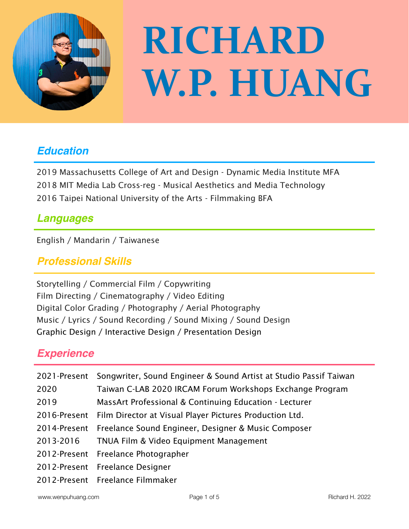

# **RICHARD** W.P. HUANG

# *Education*

2019 Massachusetts College of Art and Design - Dynamic Media Institute MFA 2018 MIT Media Lab Cross-reg - Musical Aesthetics and Media Technology 2016 Taipei National University of the Arts - Filmmaking BFA

# *Languages*

English / Mandarin / Taiwanese

## *Professional Skills*

Storytelling / Commercial Film / Copywriting Film Directing / Cinematography / Video Editing Digital Color Grading / Photography / Aerial Photography Music / Lyrics / Sound Recording / Sound Mixing / Sound Design Graphic Design / Interactive Design / Presentation Design

# *Experience*

|      | 2021-Present Songwriter, Sound Engineer & Sound Artist at Studio Passif Taiwan |
|------|--------------------------------------------------------------------------------|
| 2020 | Taiwan C-LAB 2020 IRCAM Forum Workshops Exchange Program                       |
| 2019 | MassArt Professional & Continuing Education - Lecturer                         |
|      | 2016-Present Film Director at Visual Player Pictures Production Ltd.           |
|      | 2014-Present Freelance Sound Engineer, Designer & Music Composer               |
|      | 2013-2016 TNUA Film & Video Equipment Management                               |
|      | 2012-Present Freelance Photographer                                            |
|      | 2012-Present Freelance Designer                                                |
|      | 2012-Present Freelance Filmmaker                                               |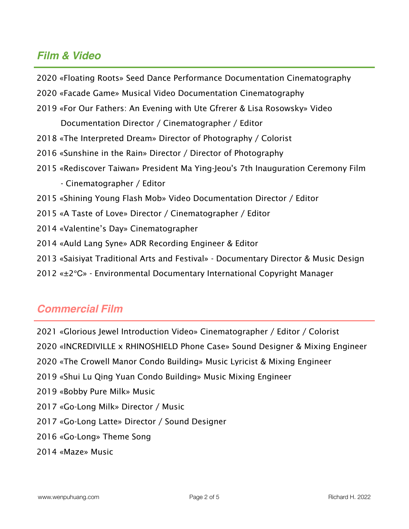### *Film & Video*

2020 «Floating Roots» Seed Dance Performance Documentation Cinematography

- 2020 «Facade Game» Musical Video Documentation Cinematography
- 2019 «For Our Fathers: An Evening with Ute Gfrerer & Lisa Rosowsky» Video

Documentation Director / Cinematographer / Editor

- 2018 «The Interpreted Dream» Director of Photography / Colorist
- 2016 «Sunshine in the Rain» Director / Director of Photography
- 2015 «Rediscover Taiwan» President Ma Ying-Jeou's 7th Inauguration Ceremony Film
	- Cinematographer / Editor
- 2015 «Shining Young Flash Mob» Video Documentation Director / Editor
- 2015 «A Taste of Love» Director / Cinematographer / Editor
- 2014 «Valentine's Day» Cinematographer
- 2014 «Auld Lang Syne» ADR Recording Engineer & Editor
- 2013 «Saisiyat Traditional Arts and Festival» Documentary Director & Music Design
- 2012 «±2℃» Environmental Documentary International Copyright Manager

#### *Commercial Film*

- 2021 «Glorious Jewel Introduction Video» Cinematographer / Editor / Colorist
- 2020 «INCREDIVILLE x RHINOSHIELD Phone Case» Sound Designer & Mixing Engineer
- 2020 «The Crowell Manor Condo Building» Music Lyricist & Mixing Engineer
- 2019 «Shui Lu Qing Yuan Condo Building» Music Mixing Engineer
- 2019 «Bobby Pure Milk» Music
- 2017 «Go-Long Milk» Director / Music
- 2017 «Go-Long Latte» Director / Sound Designer
- 2016 «Go-Long» Theme Song
- 2014 «Maze» Music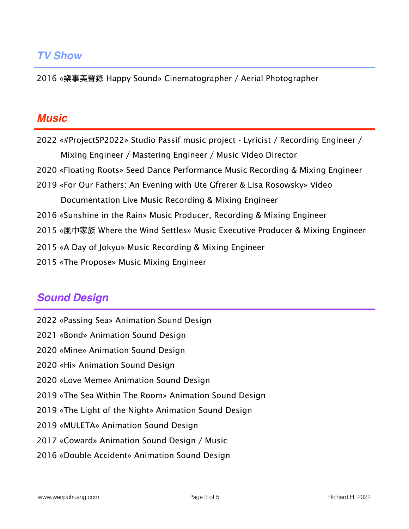2016 «樂事美聲錄 Happy Sound» Cinematographer / Aerial Photographer

#### *Music*

2022 «#ProjectSP2022» Studio Passif music project - Lyricist / Recording Engineer / Mixing Engineer / Mastering Engineer / Music Video Director 2020 «Floating Roots» Seed Dance Performance Music Recording & Mixing Engineer 2019 «For Our Fathers: An Evening with Ute Gfrerer & Lisa Rosowsky» Video Documentation Live Music Recording & Mixing Engineer 2016 «Sunshine in the Rain» Music Producer, Recording & Mixing Engineer 2015 «風中家族 Where the Wind Settles» Music Executive Producer & Mixing Engineer 2015 «A Day of Jokyu» Music Recording & Mixing Engineer 2015 «The Propose» Music Mixing Engineer

# *Sound Design*

- 2022 «Passing Sea» Animation Sound Design
- 2021 «Bond» Animation Sound Design
- 2020 «Mine» Animation Sound Design
- 2020 «Hi» Animation Sound Design
- 2020 «Love Meme» Animation Sound Design
- 2019 «The Sea Within The Room» Animation Sound Design
- 2019 «The Light of the Night» Animation Sound Design
- 2019 «MULETA» Animation Sound Design
- 2017 «Coward» Animation Sound Design / Music
- 2016 «Double Accident» Animation Sound Design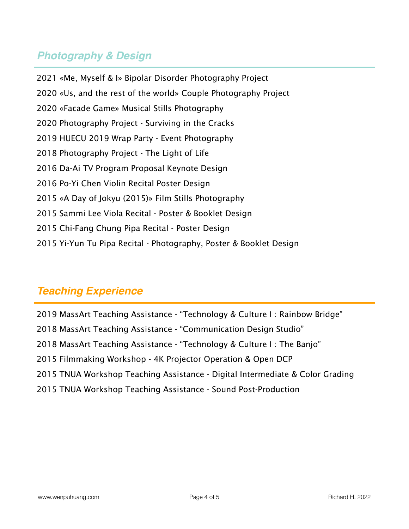# *Photography & Design*

2021 «Me, Myself & I» Bipolar Disorder Photography Project 2020 «Us, and the rest of the world» Couple Photography Project 2020 «Facade Game» Musical Stills Photography 2020 Photography Project - Surviving in the Cracks 2019 HUECU 2019 Wrap Party - Event Photography 2018 Photography Project - The Light of Life 2016 Da-Ai TV Program Proposal Keynote Design 2016 Po-Yi Chen Violin Recital Poster Design 2015 «A Day of Jokyu (2015)» Film Stills Photography 2015 Sammi Lee Viola Recital - Poster & Booklet Design 2015 Chi-Fang Chung Pipa Recital - Poster Design 2015 Yi-Yun Tu Pipa Recital - Photography, Poster & Booklet Design

# *Teaching Experience*

2019 MassArt Teaching Assistance - "Technology & Culture I : Rainbow Bridge" 2018 MassArt Teaching Assistance - "Communication Design Studio" 2018 MassArt Teaching Assistance - "Technology & Culture I : The Banjo" 2015 Filmmaking Workshop - 4K Projector Operation & Open DCP 2015 TNUA Workshop Teaching Assistance - Digital Intermediate & Color Grading 2015 TNUA Workshop Teaching Assistance - Sound Post-Production